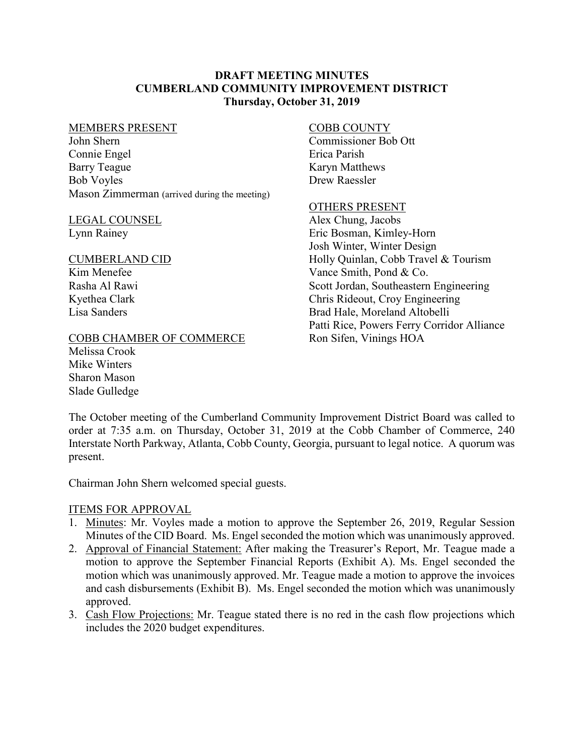### **DRAFT MEETING MINUTES CUMBERLAND COMMUNITY IMPROVEMENT DISTRICT Thursday, October 31, 2019**

#### MEMBERS PRESENT

John Shern Connie Engel Barry Teague Bob Voyles Mason Zimmerman (arrived during the meeting)

#### LEGAL COUNSEL Lynn Rainey

#### CUMBERLAND CID

Kim Menefee Rasha Al Rawi Kyethea Clark Lisa Sanders

### COBB CHAMBER OF COMMERCE

Melissa Crook Mike Winters Sharon Mason Slade Gulledge

#### COBB COUNTY

Commissioner Bob Ott Erica Parish Karyn Matthews Drew Raessler

#### OTHERS PRESENT

Alex Chung, Jacobs Eric Bosman, Kimley-Horn Josh Winter, Winter Design Holly Quinlan, Cobb Travel & Tourism Vance Smith, Pond & Co. Scott Jordan, Southeastern Engineering Chris Rideout, Croy Engineering Brad Hale, Moreland Altobelli Patti Rice, Powers Ferry Corridor Alliance Ron Sifen, Vinings HOA

The October meeting of the Cumberland Community Improvement District Board was called to order at 7:35 a.m. on Thursday, October 31, 2019 at the Cobb Chamber of Commerce, 240 Interstate North Parkway, Atlanta, Cobb County, Georgia, pursuant to legal notice. A quorum was present.

Chairman John Shern welcomed special guests.

### ITEMS FOR APPROVAL

- 1. Minutes: Mr. Voyles made a motion to approve the September 26, 2019, Regular Session Minutes of the CID Board. Ms. Engel seconded the motion which was unanimously approved.
- 2. Approval of Financial Statement: After making the Treasurer's Report, Mr. Teague made a motion to approve the September Financial Reports (Exhibit A). Ms. Engel seconded the motion which was unanimously approved. Mr. Teague made a motion to approve the invoices and cash disbursements (Exhibit B). Ms. Engel seconded the motion which was unanimously approved.
- 3. Cash Flow Projections: Mr. Teague stated there is no red in the cash flow projections which includes the 2020 budget expenditures.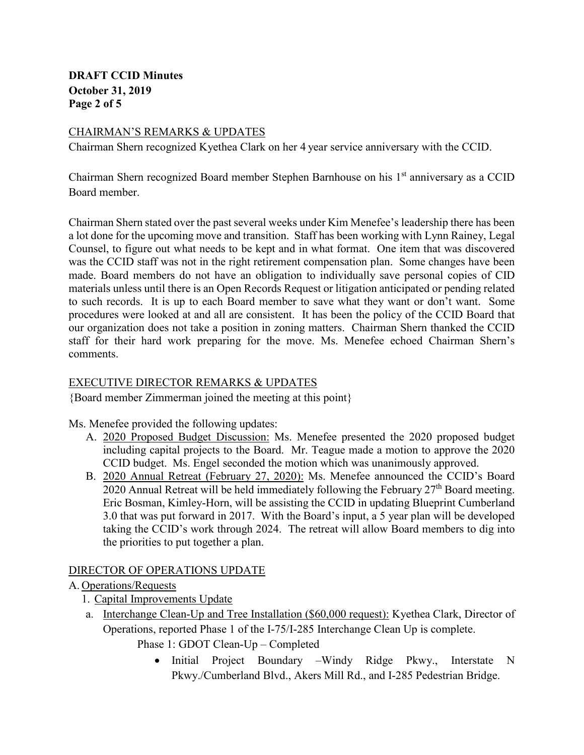# **DRAFT CCID Minutes October 31, 2019 Page 2 of 5**

# CHAIRMAN'S REMARKS & UPDATES

Chairman Shern recognized Kyethea Clark on her 4 year service anniversary with the CCID.

Chairman Shern recognized Board member Stephen Barnhouse on his 1<sup>st</sup> anniversary as a CCID Board member.

Chairman Shern stated over the past several weeks under Kim Menefee's leadership there has been a lot done for the upcoming move and transition. Staff has been working with Lynn Rainey, Legal Counsel, to figure out what needs to be kept and in what format. One item that was discovered was the CCID staff was not in the right retirement compensation plan. Some changes have been made. Board members do not have an obligation to individually save personal copies of CID materials unless until there is an Open Records Request or litigation anticipated or pending related to such records. It is up to each Board member to save what they want or don't want. Some procedures were looked at and all are consistent. It has been the policy of the CCID Board that our organization does not take a position in zoning matters. Chairman Shern thanked the CCID staff for their hard work preparing for the move. Ms. Menefee echoed Chairman Shern's comments.

# EXECUTIVE DIRECTOR REMARKS & UPDATES

{Board member Zimmerman joined the meeting at this point}

Ms. Menefee provided the following updates:

- A. 2020 Proposed Budget Discussion: Ms. Menefee presented the 2020 proposed budget including capital projects to the Board. Mr. Teague made a motion to approve the 2020 CCID budget. Ms. Engel seconded the motion which was unanimously approved.
- B. 2020 Annual Retreat (February 27, 2020): Ms. Menefee announced the CCID's Board 2020 Annual Retreat will be held immediately following the February  $27<sup>th</sup>$  Board meeting. Eric Bosman, Kimley-Horn, will be assisting the CCID in updating Blueprint Cumberland 3.0 that was put forward in 2017. With the Board's input, a 5 year plan will be developed taking the CCID's work through 2024. The retreat will allow Board members to dig into the priorities to put together a plan.

# DIRECTOR OF OPERATIONS UPDATE

A. Operations/Requests

- 1. Capital Improvements Update
- a. Interchange Clean-Up and Tree Installation (\$60,000 request): Kyethea Clark, Director of Operations, reported Phase 1 of the I-75/I-285 Interchange Clean Up is complete.
	- Phase 1: GDOT Clean-Up Completed
		- Initial Project Boundary –Windy Ridge Pkwy., Interstate N Pkwy./Cumberland Blvd., Akers Mill Rd., and I-285 Pedestrian Bridge.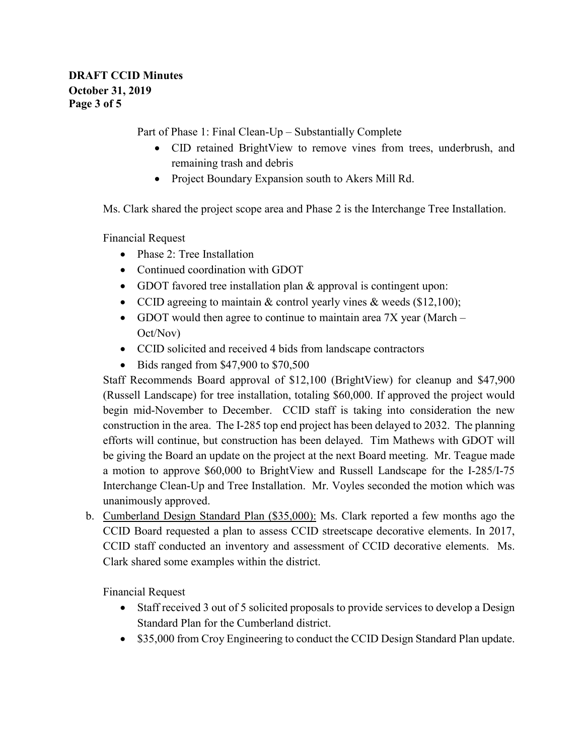Part of Phase 1: Final Clean-Up – Substantially Complete

- CID retained BrightView to remove vines from trees, underbrush, and remaining trash and debris
- Project Boundary Expansion south to Akers Mill Rd.

Ms. Clark shared the project scope area and Phase 2 is the Interchange Tree Installation.

Financial Request

- Phase 2: Tree Installation
- Continued coordination with GDOT
- GDOT favored tree installation plan & approval is contingent upon:
- CCID agreeing to maintain & control yearly vines & weeds (\$12,100);
- GDOT would then agree to continue to maintain area 7X year (March Oct/Nov)
- CCID solicited and received 4 bids from landscape contractors
- Bids ranged from \$47,900 to \$70,500

Staff Recommends Board approval of \$12,100 (BrightView) for cleanup and \$47,900 (Russell Landscape) for tree installation, totaling \$60,000. If approved the project would begin mid-November to December. CCID staff is taking into consideration the new construction in the area. The I-285 top end project has been delayed to 2032. The planning efforts will continue, but construction has been delayed. Tim Mathews with GDOT will be giving the Board an update on the project at the next Board meeting. Mr. Teague made a motion to approve \$60,000 to BrightView and Russell Landscape for the I-285/I-75 Interchange Clean-Up and Tree Installation. Mr. Voyles seconded the motion which was unanimously approved.

b. Cumberland Design Standard Plan (\$35,000): Ms. Clark reported a few months ago the CCID Board requested a plan to assess CCID streetscape decorative elements. In 2017, CCID staff conducted an inventory and assessment of CCID decorative elements. Ms. Clark shared some examples within the district.

Financial Request

- Staff received 3 out of 5 solicited proposals to provide services to develop a Design Standard Plan for the Cumberland district.
- \$35,000 from Croy Engineering to conduct the CCID Design Standard Plan update.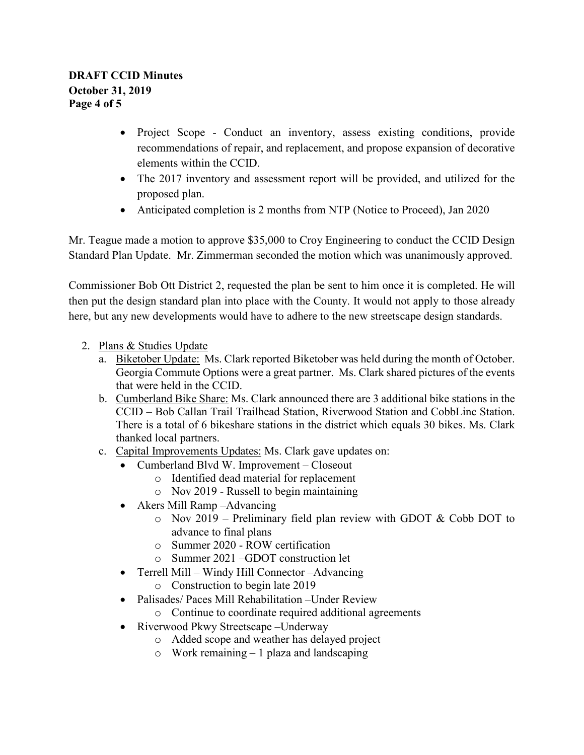- Project Scope Conduct an inventory, assess existing conditions, provide recommendations of repair, and replacement, and propose expansion of decorative elements within the CCID.
- The 2017 inventory and assessment report will be provided, and utilized for the proposed plan.
- Anticipated completion is 2 months from NTP (Notice to Proceed), Jan 2020

Mr. Teague made a motion to approve \$35,000 to Croy Engineering to conduct the CCID Design Standard Plan Update. Mr. Zimmerman seconded the motion which was unanimously approved.

Commissioner Bob Ott District 2, requested the plan be sent to him once it is completed. He will then put the design standard plan into place with the County. It would not apply to those already here, but any new developments would have to adhere to the new streetscape design standards.

- 2. Plans & Studies Update
	- a. Biketober Update: Ms. Clark reported Biketober was held during the month of October. Georgia Commute Options were a great partner. Ms. Clark shared pictures of the events that were held in the CCID.
	- b. Cumberland Bike Share: Ms. Clark announced there are 3 additional bike stations in the CCID – Bob Callan Trail Trailhead Station, Riverwood Station and CobbLinc Station. There is a total of 6 bikeshare stations in the district which equals 30 bikes. Ms. Clark thanked local partners.
	- c. Capital Improvements Updates: Ms. Clark gave updates on:
		- Cumberland Blvd W. Improvement Closeout
			- o Identified dead material for replacement
			- o Nov 2019 Russell to begin maintaining
		- Akers Mill Ramp Advancing
			- o Nov 2019 Preliminary field plan review with GDOT & Cobb DOT to advance to final plans
			- o Summer 2020 ROW certification
			- o Summer 2021 –GDOT construction let
		- Terrell Mill Windy Hill Connector –Advancing
			- o Construction to begin late 2019
		- Palisades/ Paces Mill Rehabilitation Under Review
			- o Continue to coordinate required additional agreements
		- Riverwood Pkwy Streetscape Underway
			- o Added scope and weather has delayed project
			- o Work remaining 1 plaza and landscaping